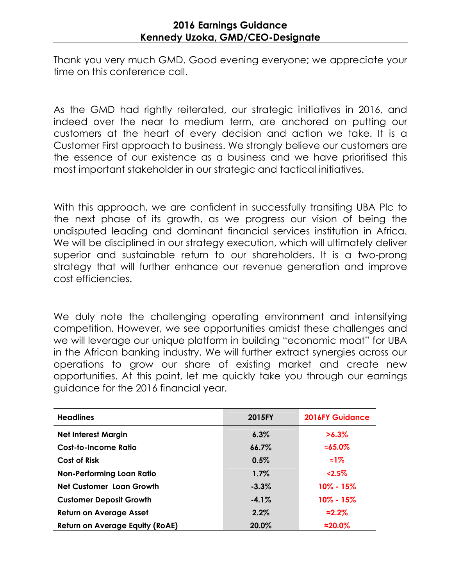## 2016 Earnings Guidance Kennedy Uzoka, GMD/CEO-Designate

Thank you very much GMD. Good evening everyone; we appreciate your time on this conference call.

As the GMD had rightly reiterated, our strategic initiatives in 2016, and indeed over the near to medium term, are anchored on putting our customers at the heart of every decision and action we take. It is a Customer First approach to business. We strongly believe our customers are the essence of our existence as a business and we have prioritised this most important stakeholder in our strategic and tactical initiatives.

With this approach, we are confident in successfully transiting UBA Plc to the next phase of its growth, as we progress our vision of being the undisputed leading and dominant financial services institution in Africa. We will be disciplined in our strategy execution, which will ultimately deliver superior and sustainable return to our shareholders. It is a two-prong strategy that will further enhance our revenue generation and improve cost efficiencies.

We duly note the challenging operating environment and intensifying competition. However, we see opportunities amidst these challenges and we will leverage our unique platform in building "economic moat" for UBA in the African banking industry. We will further extract synergies across our operations to grow our share of existing market and create new opportunities. At this point, let me quickly take you through our earnings guidance for the 2016 financial year.

| <b>Headlines</b>                       | 2015FY   | <b>2016FY Guidance</b> |
|----------------------------------------|----------|------------------------|
| <b>Net Interest Margin</b>             | $6.3\%$  | $>6.3\%$               |
| <b>Cost-to-Income Ratio</b>            | 66.7%    | $\approx 65.0\%$       |
| <b>Cost of Risk</b>                    | 0.5%     | $\approx 1\%$          |
| <b>Non-Performing Loan Ratio</b>       | 1.7%     | 2.5%                   |
| <b>Net Customer Loan Growth</b>        | $-3.3\%$ | $10\% - 15\%$          |
| <b>Customer Deposit Growth</b>         | $-4.1%$  | $10\% - 15\%$          |
| <b>Return on Average Asset</b>         | 2.2%     | $\approx 2.2\%$        |
| <b>Return on Average Equity (RoAE)</b> | 20.0%    | $\approx$ 20.0%        |